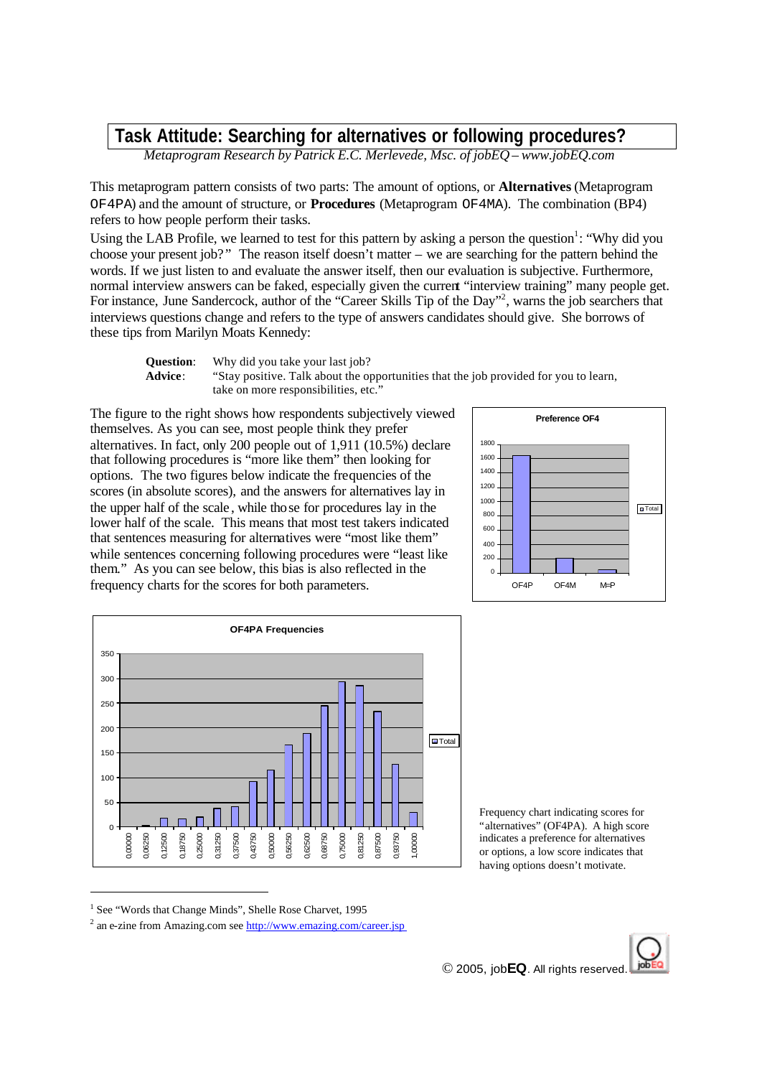## **Task Attitude: Searching for alternatives or following procedures?**

*Metaprogram Research by Patrick E.C. Merlevede, Msc. of jobEQ – www.jobEQ.com*

This metaprogram pattern consists of two parts: The amount of options, or **Alternatives** (Metaprogram OF4PA) and the amount of structure, or **Procedures** (Metaprogram OF4MA). The combination (BP4) refers to how people perform their tasks.

Using the LAB Profile, we learned to test for this pattern by asking a person the question<sup>1</sup>: "Why did you choose your present job?" The reason itself doesn't matter – we are searching for the pattern behind the words. If we just listen to and evaluate the answer itself, then our evaluation is subjective. Furthermore, normal interview answers can be faked, especially given the current "interview training" many people get. For instance, June Sandercock, author of the "Career Skills Tip of the Day"<sup>2</sup>, warns the job searchers that interviews questions change and refers to the type of answers candidates should give. She borrows of these tips from Marilyn Moats Kennedy:

**Question:** Why did you take your last job?

**Advice**: "Stay positive. Talk about the opportunities that the job provided for you to learn, take on more responsibilities, etc.'

The figure to the right shows how respondents subjectively viewed themselves. As you can see, most people think they prefer alternatives. In fact, only 200 people out of 1,911 (10.5%) declare that following procedures is "more like them" then looking for options. The two figures below indicate the frequencies of the scores (in absolute scores), and the answers for alternatives lay in the upper half of the scale , while those for procedures lay in the lower half of the scale. This means that most test takers indicated that sentences measuring for alternatives were "most like them" while sentences concerning following procedures were "least like them." As you can see below, this bias is also reflected in the frequency charts for the scores for both parameters.





Frequency chart indicating scores for "alternatives" (OF4PA). A high score indicates a preference for alternatives or options, a low score indicates that having options doesn't motivate.

 $\overline{a}$ 



<sup>&</sup>lt;sup>1</sup> See "Words that Change Minds", Shelle Rose Charvet, 1995

<sup>&</sup>lt;sup>2</sup> an e-zine from Amazing.com see http://www.emazing.com/career.jsp